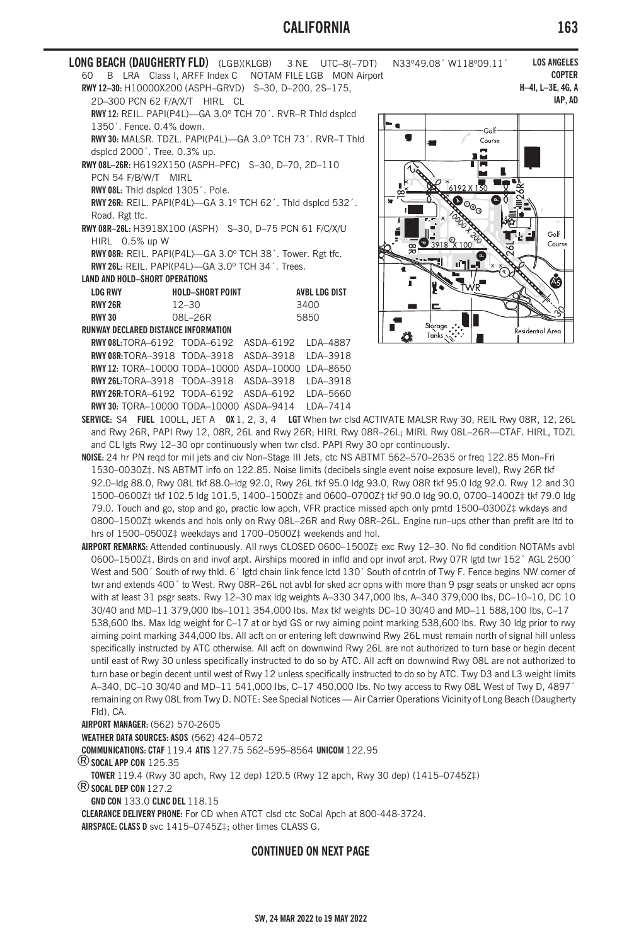## **CALIFORNIA 163**

| LONG BEACH (DAUGHERTY FLD) (LGB)(KLGB) 3 NE UTC-8(-7DT) $\,$ |                         |           |                      |  |
|--------------------------------------------------------------|-------------------------|-----------|----------------------|--|
| 60 B LRA Class I, ARFF Index C NOTAM FILE LGB MON Airport    |                         |           |                      |  |
| RWY 12-30: H10000X200 (ASPH-GRVD) S-30, D-200, 2S-175,       |                         |           |                      |  |
| 2D-300 PCN 62 F/A/X/T HIRL CL                                |                         |           |                      |  |
| RWY 12: REIL. PAPI(P4L)-GA 3.0° TCH 70'. RVR-R Thid dsplcd   |                         |           |                      |  |
| 1350'. Fence. 0.4% down.                                     |                         |           |                      |  |
| RWY 30: MALSR. TDZL. PAPI(P4L)-GA 3.0° TCH 73'. RVR-T Thid   |                         |           |                      |  |
| dsplcd 2000'. Tree. 0.3% up.                                 |                         |           |                      |  |
| RWY 08L-26R: H6192X150 (ASPH-PFC) S-30, D-70, 2D-110         |                         |           |                      |  |
| PCN 54 F/B/W/T MIRL                                          |                         |           |                      |  |
| RWY 08L: Thid dspicd 1305'. Pole.                            |                         |           |                      |  |
| RWY 26R: REIL. PAPI(P4L)-GA 3.1º TCH 62'. Thid dsplcd 532'.  |                         |           |                      |  |
| Road. Rgt tfc.                                               |                         |           |                      |  |
| RWY 08R-26L: H3918X100 (ASPH) S-30, D-75 PCN 61 F/C/X/U      |                         |           |                      |  |
| HIRL 0.5% up W                                               |                         |           |                      |  |
| RWY 08R: REIL. PAPI(P4L)-GA 3.0° TCH 38'. Tower. Rgt tfc.    |                         |           |                      |  |
| RWY 26L: RFII, PAPI(P4I)-GA 3.0° TCH 34'. Trees.             |                         |           |                      |  |
| <b>LAND AND HOLD-SHORT OPERATIONS</b>                        |                         |           |                      |  |
| LDG RWY                                                      | <b>HOLD-SHORT POINT</b> |           | <b>AVBL LDG DIST</b> |  |
| <b>RWY 26R</b>                                               | $12 - 30$               | 3400      |                      |  |
| <b>RWY 30</b>                                                | $081 - 26R$             | 5850      |                      |  |
| <b>RUNWAY DECLARED DISTANCE INFORMATION</b>                  |                         |           |                      |  |
| RWY08L:TORA-6192 TODA-6192 ASDA-6192 IDA-4887                |                         |           |                      |  |
| RWY08R:TORA-3918 TODA-3918 ASDA-3918 LDA-3918                |                         |           |                      |  |
| RWY12: TORA-10000 TODA-10000 ASDA-10000 LDA-8650             |                         |           |                      |  |
| <b>RWY 26L:TORA-3918 TODA-3918</b>                           |                         | ASDA-3918 | IDA-3918             |  |
| RWY 26R:TORA-6192 TODA-6192                                  |                         | ASDA-6192 | IDA-5660             |  |

**RWY 30:** TORA–10000 TODA–10000 ASDA–9414 LDA–7414



**N33º49.08´ W118º09.11´** 

**SERVICE:** S4 **FUEL** 100LL, JET A **OX** 1, 2, 3, 4 **LGT** When twr clsd ACTIVATE MALSR Rwy 30, REIL Rwy 08R, 12, 26L and Rwy 26R, PAPI Rwy 12, 08R, 26L and Rwy 26R; HIRL Rwy 08R–26L; MIRL Rwy 08L–26R—CTAF. HIRL, TDZL and CL lgts Rwy 12–30 opr continuously when twr clsd. PAPI Rwy 30 opr continuously.

**NOISE:** 24 hr PN reqd for mil jets and civ Non–Stage III Jets, ctc NS ABTMT 562–570–2635 or freq 122.85 Mon–Fri 1530–0030Z‡. NS ABTMT info on 122.85. Noise limits (decibels single event noise exposure level), Rwy 26R tkf 92.0–ldg 88.0, Rwy 08L tkf 88.0–ldg 92.0, Rwy 26L tkf 95.0 ldg 93.0, Rwy 08R tkf 95.0 ldg 92.0. Rwy 12 and 30 1500–0600Z‡ tkf 102.5 ldg 101.5, 1400–1500Z‡ and 0600–0700Z‡ tkf 90.0 ldg 90.0, 0700–1400Z‡ tkf 79.0 ldg 79.0. Touch and go, stop and go, practic low apch, VFR practice missed apch only pmtd 1500–0300Z‡ wkdays and 0800–1500Z‡ wkends and hols only on Rwy 08L–26R and Rwy 08R–26L. Engine run–ups other than preflt are ltd to hrs of 1500–0500Z‡ weekdays and 1700–0500Z‡ weekends and hol.

**AIRPORT REMARKS:** Attended continuously. All rwys CLOSED 0600–1500Z‡ exc Rwy 12–30. No fld condition NOTAMs avbl 0600–1500Z‡. Birds on and invof arpt. Airships moored in infld and opr invof arpt. Rwy 07R lgtd twr 152´ AGL 2500´ West and 500' South of rwy thld. 6' lgtd chain link fence lctd 130' South of cntrln of Twy F. Fence begins NW corner of twr and extends 400´ to West. Rwy 08R–26L not avbl for sked acr opns with more than 9 psgr seats or unsked acr opns with at least 31 psgr seats. Rwy 12–30 max ldg weights A–330 347,000 lbs, A–340 379,000 lbs, DC–10–10, DC 10 30/40 and MD–11 379,000 lbs–1011 354,000 lbs. Max tkf weights DC–10 30/40 and MD–11 588,100 lbs, C–17 538,600 lbs. Max ldg weight for C–17 at or byd GS or rwy aiming point marking 538,600 lbs. Rwy 30 ldg prior to rwy aiming point marking 344,000 lbs. All acft on or entering left downwind Rwy 26L must remain north of signal hill unless specifically instructed by ATC otherwise. All acft on downwind Rwy 26L are not authorized to turn base or begin decent until east of Rwy 30 unless specifically instructed to do so by ATC. All acft on downwind Rwy 08L are not authorized to turn base or begin decent until west of Rwy 12 unless specifically instructed to do so by ATC. Twy D3 and L3 weight limits A–340, DC–10 30/40 and MD–11 541,000 lbs, C–17 450,000 lbs. No twy access to Rwy 08L West of Twy D, 4897´ remaining on Rwy 08L from Twy D. NOTE: See Special Notices — Air Carrier Operations Vicinity of Long Beach (Daugherty Fld), CA.

**AIRPORT MANAGER:** (562) 570-2605

**WEATHER DATA SOURCES: ASOS** (562) 424–0572

**COMMUNICATIONS: CTAF** 119.4 **ATIS** 127.75 562–595–8564 **UNICOM** 122.95

®**SOCAL APP CON** 125.35

**TOWER** 119.4 (Rwy 30 apch, Rwy 12 dep) 120.5 (Rwy 12 apch, Rwy 30 dep) (1415–0745Z‡) ®**SOCAL DEP CON** 127.2

**GND CON** 133.0 **CLNC DEL** 118.15

**CLEARANCE DELIVERY PHONE:** For CD when ATCT clsd ctc SoCal Apch at 800-448-3724.

**AIRSPACE: CLASS D** svc 1415–0745Z‡; other times CLASS G.

## **CONTINUED ON NEXT PAGE**

**LOS ANGELES COPTER H–4I, L–3E, 4G, A**